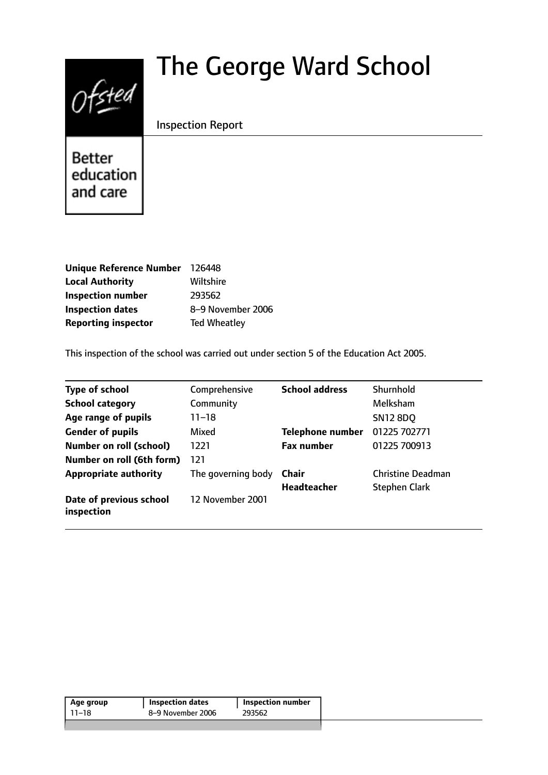# $0$ fsted

# The George Ward School

Inspection Report

**Better** education and care

| <b>Unique Reference Number</b> | 126448              |
|--------------------------------|---------------------|
| <b>Local Authority</b>         | Wiltshire           |
| <b>Inspection number</b>       | 293562              |
| <b>Inspection dates</b>        | 8-9 November 2006   |
| <b>Reporting inspector</b>     | <b>Ted Wheatley</b> |

This inspection of the school was carried out under section 5 of the Education Act 2005.

| <b>Type of school</b>                 | Comprehensive      | <b>School address</b>   | Shurnhold                |
|---------------------------------------|--------------------|-------------------------|--------------------------|
| <b>School category</b>                | Community          |                         | Melksham                 |
| Age range of pupils                   | $11 - 18$          |                         | <b>SN12 8DO</b>          |
| <b>Gender of pupils</b>               | Mixed              | <b>Telephone number</b> | 01225 702771             |
| <b>Number on roll (school)</b>        | 1221               | <b>Fax number</b>       | 01225 700913             |
| Number on roll (6th form)             | 121                |                         |                          |
| <b>Appropriate authority</b>          | The governing body | Chair                   | <b>Christine Deadman</b> |
|                                       |                    | <b>Headteacher</b>      | <b>Stephen Clark</b>     |
| Date of previous school<br>inspection | 12 November 2001   |                         |                          |

| Age group | <b>Inspection dates</b> | Inspection number |
|-----------|-------------------------|-------------------|
| 11–18     | 8-9 November 2006       | 293562            |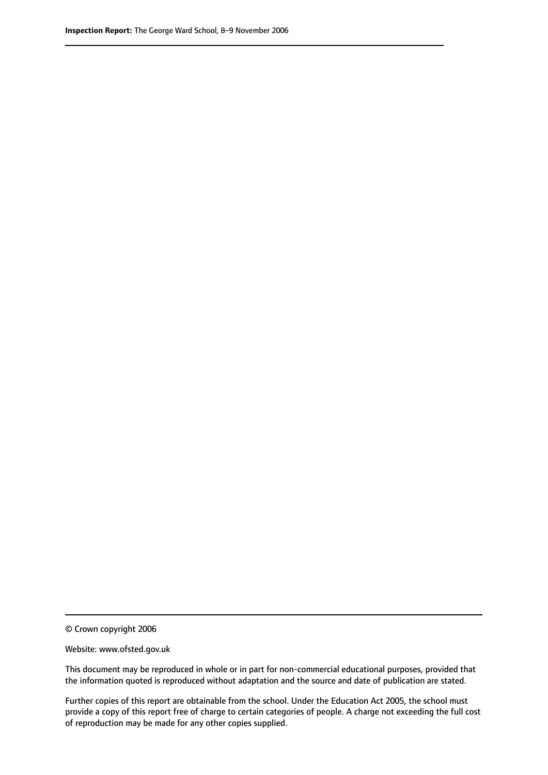© Crown copyright 2006

Website: www.ofsted.gov.uk

This document may be reproduced in whole or in part for non-commercial educational purposes, provided that the information quoted is reproduced without adaptation and the source and date of publication are stated.

Further copies of this report are obtainable from the school. Under the Education Act 2005, the school must provide a copy of this report free of charge to certain categories of people. A charge not exceeding the full cost of reproduction may be made for any other copies supplied.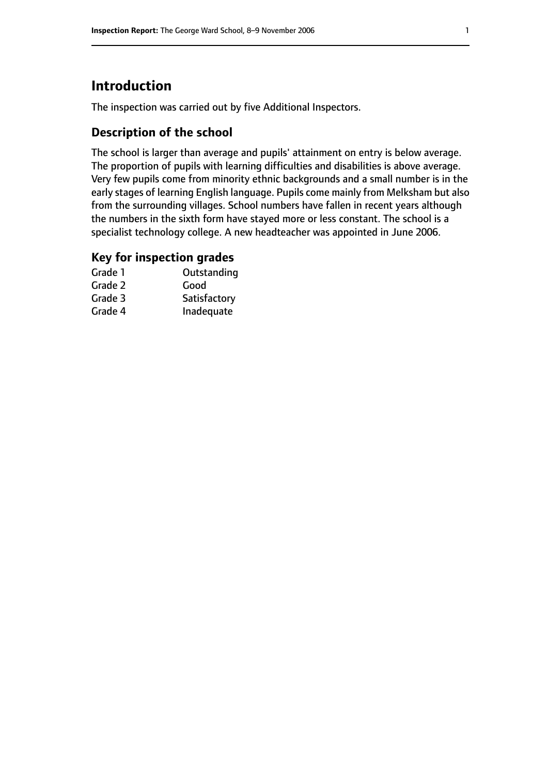## **Introduction**

The inspection was carried out by five Additional Inspectors.

#### **Description of the school**

The school is larger than average and pupils' attainment on entry is below average. The proportion of pupils with learning difficulties and disabilities is above average. Very few pupils come from minority ethnic backgrounds and a small number is in the early stages of learning English language. Pupils come mainly from Melksham but also from the surrounding villages. School numbers have fallen in recent years although the numbers in the sixth form have stayed more or less constant. The school is a specialist technology college. A new headteacher was appointed in June 2006.

#### **Key for inspection grades**

| Grade 1 | Outstanding  |
|---------|--------------|
| Grade 2 | Good         |
| Grade 3 | Satisfactory |
| Grade 4 | Inadequate   |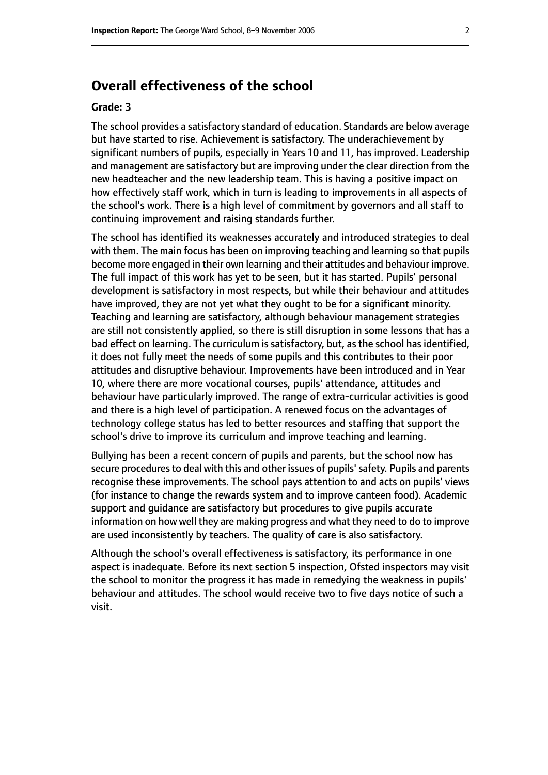#### **Overall effectiveness of the school**

#### **Grade: 3**

The school provides a satisfactory standard of education. Standards are below average but have started to rise. Achievement is satisfactory. The underachievement by significant numbers of pupils, especially in Years 10 and 11, has improved. Leadership and management are satisfactory but are improving under the clear direction from the new headteacher and the new leadership team. This is having a positive impact on how effectively staff work, which in turn is leading to improvements in all aspects of the school's work. There is a high level of commitment by governors and all staff to continuing improvement and raising standards further.

The school has identified its weaknesses accurately and introduced strategies to deal with them. The main focus has been on improving teaching and learning so that pupils become more engaged in their own learning and their attitudes and behaviour improve. The full impact of this work has yet to be seen, but it has started. Pupils' personal development is satisfactory in most respects, but while their behaviour and attitudes have improved, they are not yet what they ought to be for a significant minority. Teaching and learning are satisfactory, although behaviour management strategies are still not consistently applied, so there is still disruption in some lessons that has a bad effect on learning. The curriculum is satisfactory, but, as the school has identified, it does not fully meet the needs of some pupils and this contributes to their poor attitudes and disruptive behaviour. Improvements have been introduced and in Year 10, where there are more vocational courses, pupils' attendance, attitudes and behaviour have particularly improved. The range of extra-curricular activities is good and there is a high level of participation. A renewed focus on the advantages of technology college status has led to better resources and staffing that support the school's drive to improve its curriculum and improve teaching and learning.

Bullying has been a recent concern of pupils and parents, but the school now has secure procedures to deal with this and other issues of pupils' safety. Pupils and parents recognise these improvements. The school pays attention to and acts on pupils' views (for instance to change the rewards system and to improve canteen food). Academic support and guidance are satisfactory but procedures to give pupils accurate information on how well they are making progress and what they need to do to improve are used inconsistently by teachers. The quality of care is also satisfactory.

Although the school's overall effectiveness is satisfactory, its performance in one aspect is inadequate. Before its next section 5 inspection, Ofsted inspectors may visit the school to monitor the progress it has made in remedying the weakness in pupils' behaviour and attitudes. The school would receive two to five days notice of such a visit.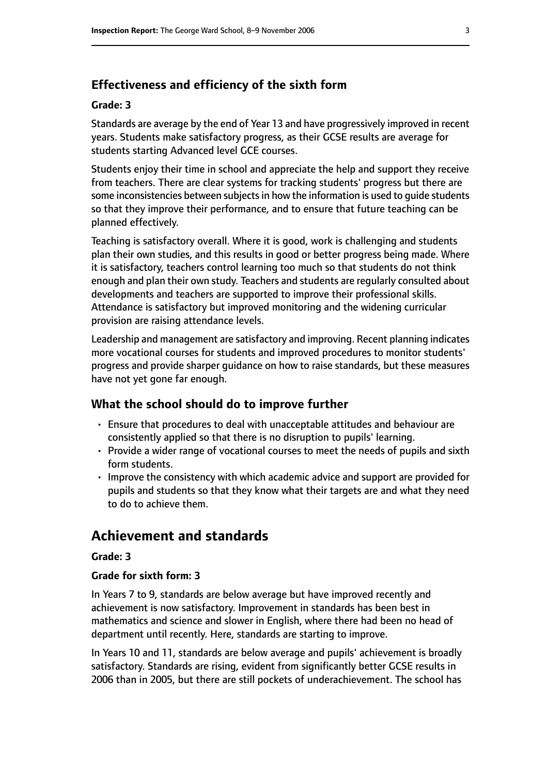#### **Effectiveness and efficiency of the sixth form**

#### **Grade: 3**

Standards are average by the end of Year 13 and have progressively improved in recent years. Students make satisfactory progress, as their GCSE results are average for students starting Advanced level GCE courses.

Students enjoy their time in school and appreciate the help and support they receive from teachers. There are clear systems for tracking students' progress but there are some inconsistencies between subjects in how the information is used to quide students so that they improve their performance, and to ensure that future teaching can be planned effectively.

Teaching is satisfactory overall. Where it is good, work is challenging and students plan their own studies, and this results in good or better progress being made. Where it is satisfactory, teachers control learning too much so that students do not think enough and plan their own study. Teachers and students are regularly consulted about developments and teachers are supported to improve their professional skills. Attendance is satisfactory but improved monitoring and the widening curricular provision are raising attendance levels.

Leadership and management are satisfactory and improving. Recent planning indicates more vocational courses for students and improved procedures to monitor students' progress and provide sharper guidance on how to raise standards, but these measures have not yet gone far enough.

#### **What the school should do to improve further**

- Ensure that procedures to deal with unacceptable attitudes and behaviour are consistently applied so that there is no disruption to pupils' learning.
- Provide a wider range of vocational courses to meet the needs of pupils and sixth form students.
- Improve the consistency with which academic advice and support are provided for pupils and students so that they know what their targets are and what they need to do to achieve them.

#### **Achievement and standards**

#### **Grade: 3**

#### **Grade for sixth form: 3**

In Years 7 to 9, standards are below average but have improved recently and achievement is now satisfactory. Improvement in standards has been best in mathematics and science and slower in English, where there had been no head of department until recently. Here, standards are starting to improve.

In Years 10 and 11, standards are below average and pupils' achievement is broadly satisfactory. Standards are rising, evident from significantly better GCSE results in 2006 than in 2005, but there are still pockets of underachievement. The school has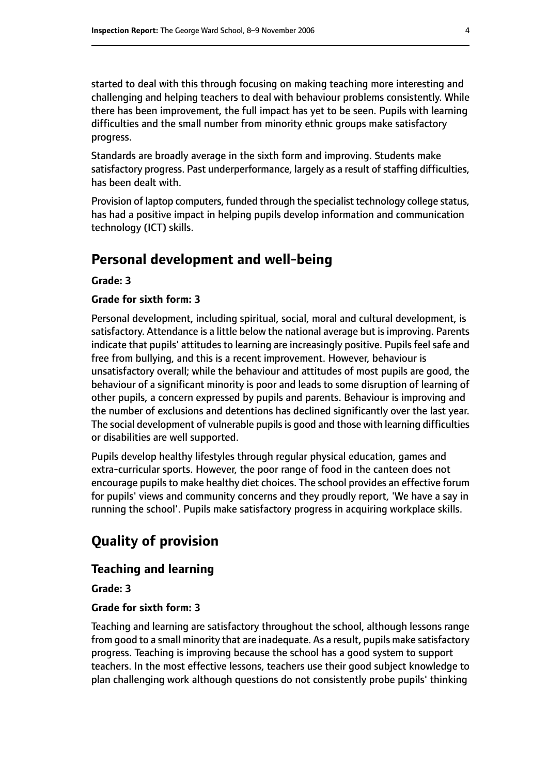started to deal with this through focusing on making teaching more interesting and challenging and helping teachers to deal with behaviour problems consistently. While there has been improvement, the full impact has yet to be seen. Pupils with learning difficulties and the small number from minority ethnic groups make satisfactory progress.

Standards are broadly average in the sixth form and improving. Students make satisfactory progress. Past underperformance, largely as a result of staffing difficulties, has been dealt with.

Provision of laptop computers, funded through the specialist technology college status, has had a positive impact in helping pupils develop information and communication technology (ICT) skills.

### **Personal development and well-being**

**Grade: 3**

#### **Grade for sixth form: 3**

Personal development, including spiritual, social, moral and cultural development, is satisfactory. Attendance is a little below the national average but is improving. Parents indicate that pupils' attitudes to learning are increasingly positive. Pupils feel safe and free from bullying, and this is a recent improvement. However, behaviour is unsatisfactory overall; while the behaviour and attitudes of most pupils are good, the behaviour of a significant minority is poor and leads to some disruption of learning of other pupils, a concern expressed by pupils and parents. Behaviour is improving and the number of exclusions and detentions has declined significantly over the last year. The social development of vulnerable pupils is good and those with learning difficulties or disabilities are well supported.

Pupils develop healthy lifestyles through regular physical education, games and extra-curricular sports. However, the poor range of food in the canteen does not encourage pupils to make healthy diet choices. The school provides an effective forum for pupils' views and community concerns and they proudly report, 'We have a say in running the school'. Pupils make satisfactory progress in acquiring workplace skills.

# **Quality of provision**

#### **Teaching and learning**

#### **Grade: 3**

#### **Grade for sixth form: 3**

Teaching and learning are satisfactory throughout the school, although lessons range from good to a small minority that are inadequate. As a result, pupils make satisfactory progress. Teaching is improving because the school has a good system to support teachers. In the most effective lessons, teachers use their good subject knowledge to plan challenging work although questions do not consistently probe pupils' thinking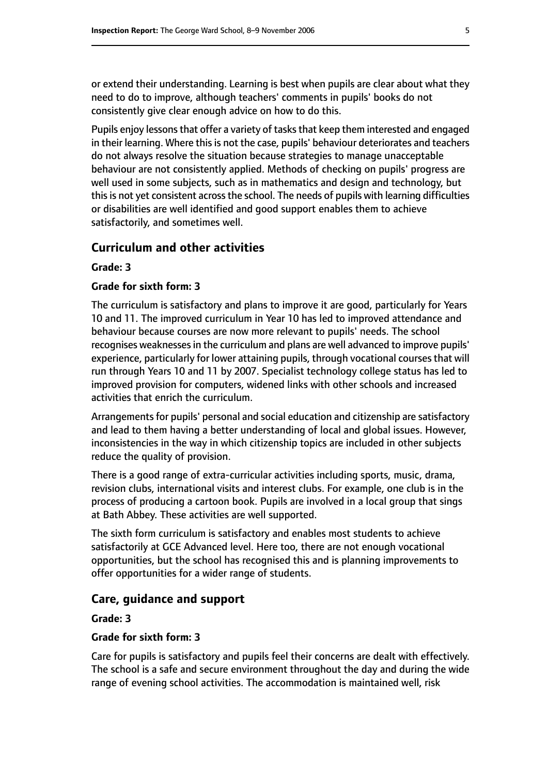or extend their understanding. Learning is best when pupils are clear about what they need to do to improve, although teachers' comments in pupils' books do not consistently give clear enough advice on how to do this.

Pupils enjoy lessons that offer a variety of tasks that keep them interested and engaged in their learning. Where this is not the case, pupils' behaviour deteriorates and teachers do not always resolve the situation because strategies to manage unacceptable behaviour are not consistently applied. Methods of checking on pupils' progress are well used in some subjects, such as in mathematics and design and technology, but this is not yet consistent across the school. The needs of pupils with learning difficulties or disabilities are well identified and good support enables them to achieve satisfactorily, and sometimes well.

#### **Curriculum and other activities**

#### **Grade: 3**

#### **Grade for sixth form: 3**

The curriculum is satisfactory and plans to improve it are good, particularly for Years 10 and 11. The improved curriculum in Year 10 has led to improved attendance and behaviour because courses are now more relevant to pupils' needs. The school recognises weaknesses in the curriculum and plans are well advanced to improve pupils' experience, particularly for lower attaining pupils, through vocational courses that will run through Years 10 and 11 by 2007. Specialist technology college status has led to improved provision for computers, widened links with other schools and increased activities that enrich the curriculum.

Arrangements for pupils' personal and social education and citizenship are satisfactory and lead to them having a better understanding of local and global issues. However, inconsistencies in the way in which citizenship topics are included in other subjects reduce the quality of provision.

There is a good range of extra-curricular activities including sports, music, drama, revision clubs, international visits and interest clubs. For example, one club is in the process of producing a cartoon book. Pupils are involved in a local group that sings at Bath Abbey. These activities are well supported.

The sixth form curriculum is satisfactory and enables most students to achieve satisfactorily at GCE Advanced level. Here too, there are not enough vocational opportunities, but the school has recognised this and is planning improvements to offer opportunities for a wider range of students.

#### **Care, guidance and support**

#### **Grade: 3**

#### **Grade for sixth form: 3**

Care for pupils is satisfactory and pupils feel their concerns are dealt with effectively. The school is a safe and secure environment throughout the day and during the wide range of evening school activities. The accommodation is maintained well, risk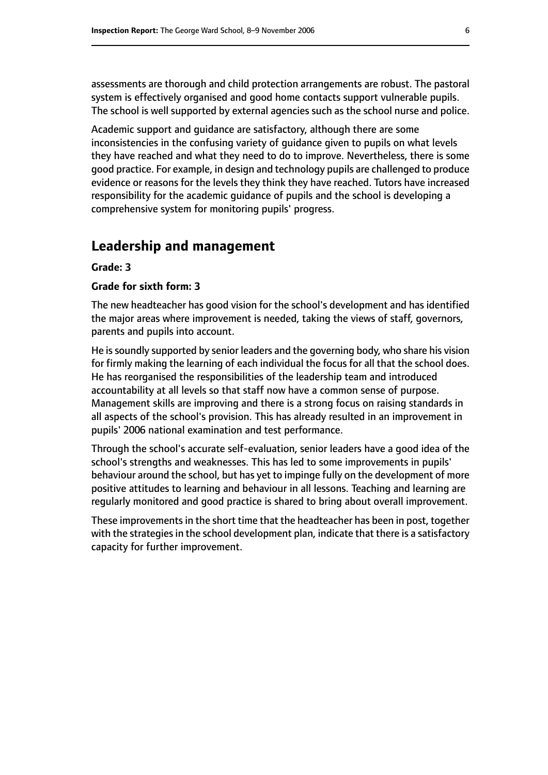assessments are thorough and child protection arrangements are robust. The pastoral system is effectively organised and good home contacts support vulnerable pupils. The school is well supported by external agencies such as the school nurse and police.

Academic support and guidance are satisfactory, although there are some inconsistencies in the confusing variety of guidance given to pupils on what levels they have reached and what they need to do to improve. Nevertheless, there is some good practice. For example, in design and technology pupils are challenged to produce evidence or reasons for the levels they think they have reached. Tutors have increased responsibility for the academic guidance of pupils and the school is developing a comprehensive system for monitoring pupils' progress.

#### **Leadership and management**

#### **Grade: 3**

#### **Grade for sixth form: 3**

The new headteacher has good vision for the school's development and has identified the major areas where improvement is needed, taking the views of staff, governors, parents and pupils into account.

He is soundly supported by senior leaders and the governing body, who share his vision for firmly making the learning of each individual the focus for all that the school does. He has reorganised the responsibilities of the leadership team and introduced accountability at all levels so that staff now have a common sense of purpose. Management skills are improving and there is a strong focus on raising standards in all aspects of the school's provision. This has already resulted in an improvement in pupils' 2006 national examination and test performance.

Through the school's accurate self-evaluation, senior leaders have a good idea of the school's strengths and weaknesses. This has led to some improvements in pupils' behaviour around the school, but has yet to impinge fully on the development of more positive attitudes to learning and behaviour in all lessons. Teaching and learning are regularly monitored and good practice is shared to bring about overall improvement.

These improvements in the short time that the headteacher has been in post, together with the strategies in the school development plan, indicate that there is a satisfactory capacity for further improvement.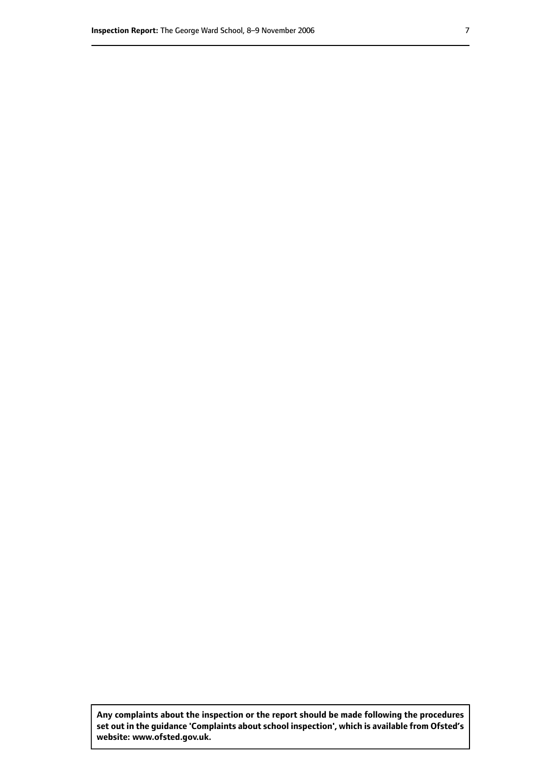**Any complaints about the inspection or the report should be made following the procedures set out inthe guidance 'Complaints about school inspection', whichis available from Ofsted's website: www.ofsted.gov.uk.**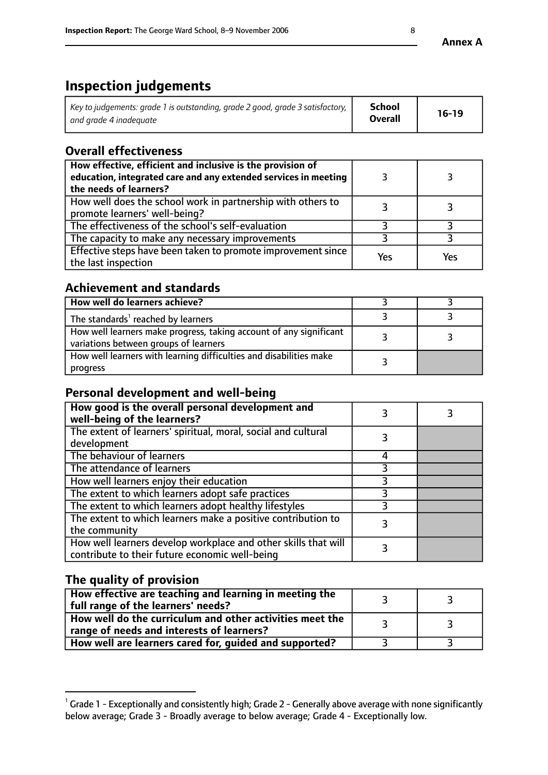# **Inspection judgements**

| Key to judgements: grade 1 is outstanding, grade 2 good, grade 3 satisfactory, $\parallel$ | <b>School</b>  | $16-19$ |
|--------------------------------------------------------------------------------------------|----------------|---------|
| and grade 4 inadeguate                                                                     | <b>Overall</b> |         |

#### **Overall effectiveness**

| How effective, efficient and inclusive is the provision of<br>education, integrated care and any extended services in meeting<br>the needs of learners? |     |     |
|---------------------------------------------------------------------------------------------------------------------------------------------------------|-----|-----|
| How well does the school work in partnership with others to<br>promote learners' well-being?                                                            |     |     |
| The effectiveness of the school's self-evaluation                                                                                                       |     |     |
| The capacity to make any necessary improvements                                                                                                         |     |     |
| Effective steps have been taken to promote improvement since<br>the last inspection                                                                     | Yes | Yes |

#### **Achievement and standards**

| How well do learners achieve?                                                                               |  |
|-------------------------------------------------------------------------------------------------------------|--|
| The standards <sup>1</sup> reached by learners                                                              |  |
| How well learners make progress, taking account of any significant<br>variations between groups of learners |  |
| How well learners with learning difficulties and disabilities make<br>progress                              |  |

#### **Personal development and well-being**

| How good is the overall personal development and<br>well-being of the learners?                                  |  |
|------------------------------------------------------------------------------------------------------------------|--|
| The extent of learners' spiritual, moral, social and cultural<br>development                                     |  |
| The behaviour of learners                                                                                        |  |
| The attendance of learners                                                                                       |  |
| How well learners enjoy their education                                                                          |  |
| The extent to which learners adopt safe practices                                                                |  |
| The extent to which learners adopt healthy lifestyles                                                            |  |
| The extent to which learners make a positive contribution to<br>the community                                    |  |
| How well learners develop workplace and other skills that will<br>contribute to their future economic well-being |  |

#### **The quality of provision**

| How effective are teaching and learning in meeting the<br>full range of the learners' needs?          |  |
|-------------------------------------------------------------------------------------------------------|--|
| How well do the curriculum and other activities meet the<br>range of needs and interests of learners? |  |
| How well are learners cared for, guided and supported?                                                |  |

 $^1$  Grade 1 - Exceptionally and consistently high; Grade 2 - Generally above average with none significantly below average; Grade 3 - Broadly average to below average; Grade 4 - Exceptionally low.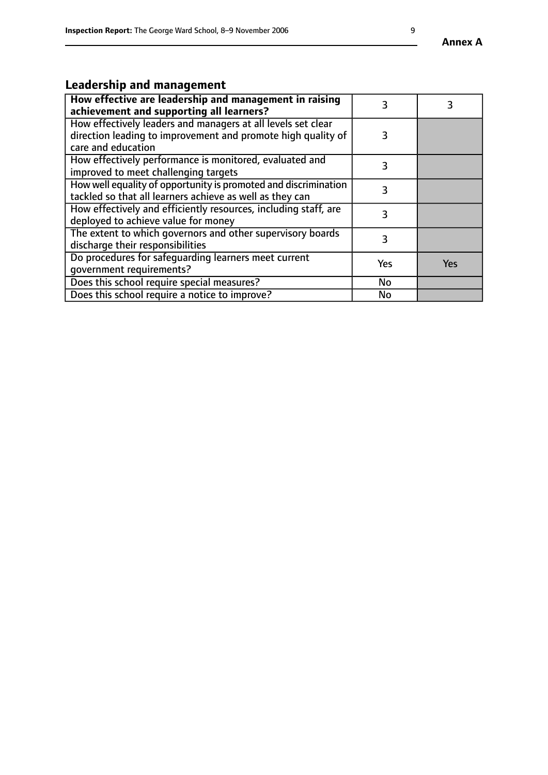# **Leadership and management**

| How effective are leadership and management in raising<br>achievement and supporting all learners?                                                 | 3   |            |
|----------------------------------------------------------------------------------------------------------------------------------------------------|-----|------------|
| How effectively leaders and managers at all levels set clear<br>direction leading to improvement and promote high quality of<br>care and education | 3   |            |
| How effectively performance is monitored, evaluated and<br>improved to meet challenging targets                                                    | 3   |            |
| How well equality of opportunity is promoted and discrimination<br>tackled so that all learners achieve as well as they can                        | 3   |            |
| How effectively and efficiently resources, including staff, are<br>deployed to achieve value for money                                             |     |            |
| The extent to which governors and other supervisory boards<br>discharge their responsibilities                                                     | 3   |            |
| Do procedures for safeguarding learners meet current<br>qovernment requirements?                                                                   | Yes | <b>Yes</b> |
| Does this school require special measures?                                                                                                         | No  |            |
| Does this school require a notice to improve?                                                                                                      | No  |            |

**Annex A**